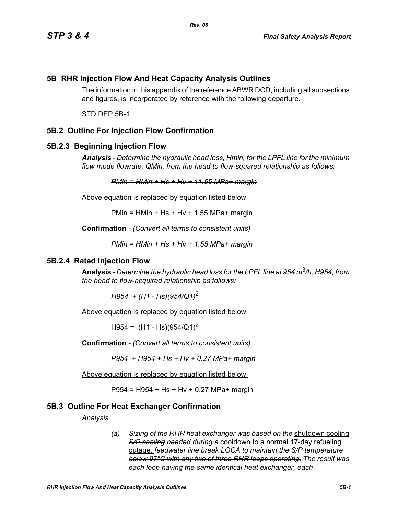# **5B RHR Injection Flow And Heat Capacity Analysis Outlines**

The information in this appendix of the reference ABWR DCD, including all subsections and figures, is incorporated by reference with the following departure.

STD DEP 5B-1

## **5B.2 Outline For Injection Flow Confirmation**

### **5B.2.3 Beginning Injection Flow**

*Analysis - Determine the hydraulic head loss, Hmin, for the LPFL line for the minimum flow mode flowrate, QMin, from the head to flow-squared relationship as follows:*

*PMin = HMin + Hs + Hv + 11.55 MPa+ margin*

Above equation is replaced by equation listed below

 $PMin = HMin + Hs + Hv + 1.55 MPa + margin$ 

**Confirmation** *- (Convert all terms to consistent units)*

*PMin = HMin + Hs + Hv + 1.55 MPa+ margin*

#### **5B.2.4 Rated Injection Flow**

**Analysis** *- Determine the hydraulic head loss for the LPFL line at 954 m*3*/h, H954, from the head to flow-acquired relationship as follows:*

*H954 + (H1 - Hs)(954/Q1)*<sup>2</sup>

Above equation is replaced by equation listed below

 $H954 = (H1 - Hs)(954/Q1)^2$ 

**Confirmation** *- (Convert all terms to consistent units)*

*P954 + H954 + Hs + Hv + 0.27 MPa+ margin*

Above equation is replaced by equation listed below

P954 = H954 + Hs + Hv + 0.27 MPa+ margin

### **5B.3 Outline For Heat Exchanger Confirmation**

*Analysis*

*(a) Sizing of the RHR heat exchanger was based on the* shutdown cooling *S/P cooling needed during a* cooldown to a normal 17-day refueling outage. *feedwater line break LOCA to maintain the S/P temperature below 97°C with any two of three RHR loops operating. The result was each loop having the same identical heat exchanger, each*